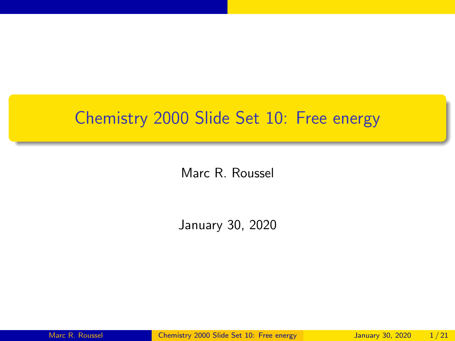# <span id="page-0-0"></span>Chemistry 2000 Slide Set 10: Free energy

Marc R. Roussel

January 30, 2020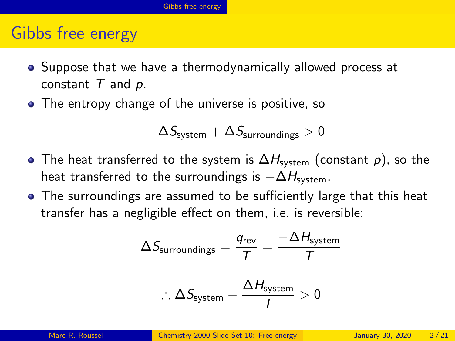## <span id="page-1-0"></span>Gibbs free energy

- Suppose that we have a thermodynamically allowed process at constant  $T$  and  $p$ .
- The entropy change of the universe is positive, so

$$
\Delta S_{\rm system} + \Delta S_{\rm surrounding s} > 0
$$

- The heat transferred to the system is  $\Delta H_{\text{system}}$  (constant p), so the heat transferred to the surroundings is  $-\Delta H_{\text{system}}$ .
- The surroundings are assumed to be sufficiently large that this heat transfer has a negligible effect on them, i.e. is reversible:

$$
\Delta S_{\text{surroundings}} = \frac{q_{\text{rev}}}{T} = \frac{-\Delta H_{\text{system}}}{T}
$$

$$
\therefore \Delta S_{\text{system}} - \frac{\Delta H_{\text{system}}}{T} > 0
$$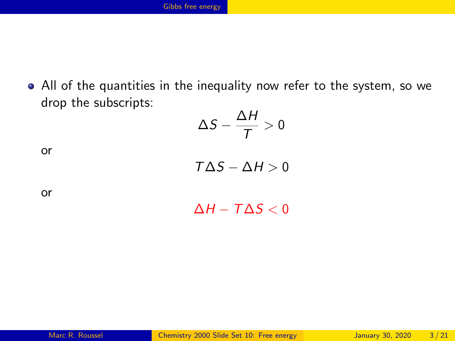All of the quantities in the inequality now refer to the system, so we drop the subscripts:  $\ddot{\phantom{1}}$   $\ddot{\phantom{1}}$ 

$$
\Delta S - \frac{\Delta H}{T} > 0
$$

or

 $T\Delta S - \Delta H > 0$ 

 $\Delta H - T \Delta S < 0$ 

or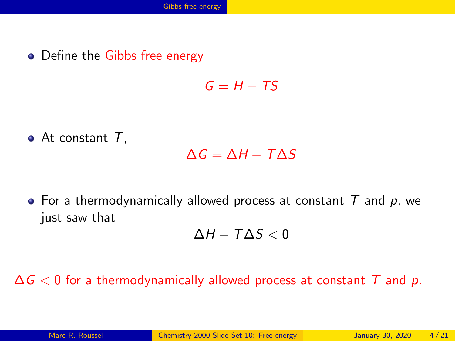• Define the Gibbs free energy

 $G - H - TS$ 

 $\bullet$  At constant  $T$ .

 $\Delta G = \Delta H - T \Delta S$ 

• For a thermodynamically allowed process at constant  $T$  and  $p$ , we just saw that

 $\Delta H - T \Delta S < 0$ 

 $\Delta G$  < 0 for a thermodynamically allowed process at constant T and p.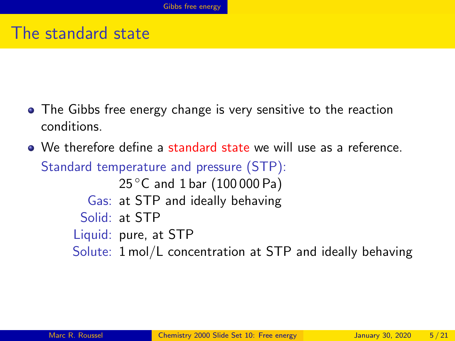#### The standard state

- The Gibbs free energy change is very sensitive to the reaction conditions.
- We therefore define a standard state we will use as a reference. Standard temperature and pressure (STP):

25 °C and 1 bar (100 000 Pa) Gas: at STP and ideally behaving Solid: at STP Liquid: pure, at STP Solute: 1 mol/L concentration at STP and ideally behaving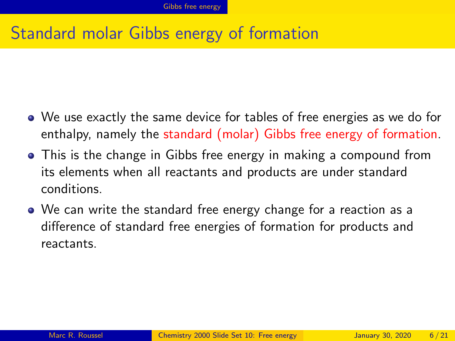## Standard molar Gibbs energy of formation

- We use exactly the same device for tables of free energies as we do for enthalpy, namely the standard (molar) Gibbs free energy of formation.
- This is the change in Gibbs free energy in making a compound from its elements when all reactants and products are under standard conditions.
- We can write the standard free energy change for a reaction as a difference of standard free energies of formation for products and reactants.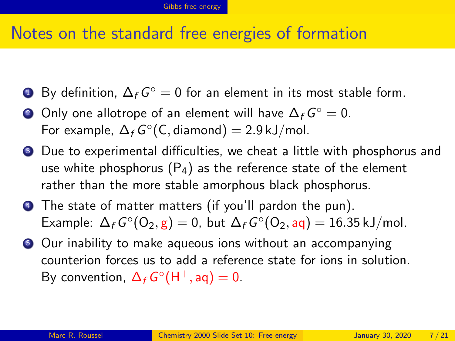#### Notes on the standard free energies of formation

- By definition,  $\Delta_f G^{\circ} = 0$  for an element in its most stable form.
- ? Only one allotrope of an element will have  $\Delta_f G^{\circ}=0.$ For example,  $\Delta_f G^\circ(\mathsf{C}, \mathsf{diamond}) = 2.9 \,\mathsf{kJ/mol}.$
- <sup>3</sup> Due to experimental difficulties, we cheat a little with phosphorus and use white phosphorus  $(P_4)$  as the reference state of the element rather than the more stable amorphous black phosphorus.
- <sup>4</sup> The state of matter matters (if you'll pardon the pun). Example:  $\Delta_f G^{\circ}(\mathsf{O}_2, \mathsf{g}) = 0$ , but  $\Delta_f G^{\circ}(\mathsf{O}_2, \mathsf{aq}) = 16.35 \,\text{kJ/mol}$ .
- **•** Our inability to make aqueous ions without an accompanying counterion forces us to add a reference state for ions in solution. By convention,  $\Delta_f G^{\circ}(\mathsf{H}^+, \mathsf{aq}) = 0$ .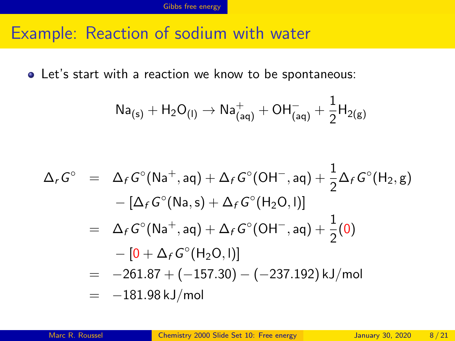#### Example: Reaction of sodium with water

Let's start with a reaction we know to be spontaneous:

$$
Na_{(s)} + H_2O_{(I)} \rightarrow Na^+_{(aq)} + OH^-_{(aq)} + \frac{1}{2}H_{2(g)}
$$

$$
\Delta_r G^\circ = \Delta_f G^\circ (\text{Na}^+, \text{aq}) + \Delta_f G^\circ (\text{OH}^-, \text{aq}) + \frac{1}{2} \Delta_f G^\circ (\text{H}_2, \text{g}) \n- [\Delta_f G^\circ (\text{Na}, \text{s}) + \Delta_f G^\circ (\text{H}_2 \text{O}, \text{I})] \n= \Delta_f G^\circ (\text{Na}^+, \text{aq}) + \Delta_f G^\circ (\text{OH}^-, \text{aq}) + \frac{1}{2} (0) \n- [0 + \Delta_f G^\circ (\text{H}_2 \text{O}, \text{I})] \n= -261.87 + (-157.30) - (-237.192) \text{ kJ/mol} \n= -181.98 \text{ kJ/mol}
$$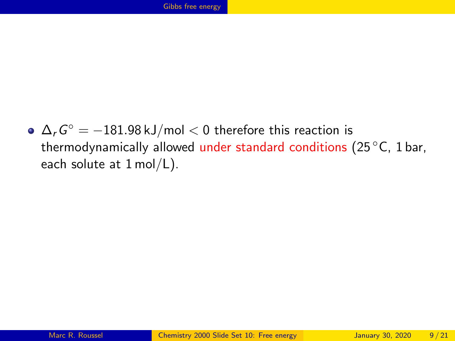$\Delta_{\it r} {\it G}^{\circ} = -181.98$  kJ/mol  $< 0$  therefore this reaction is thermodynamically allowed under standard conditions (25 °C, 1 bar, each solute at 1 mol/L).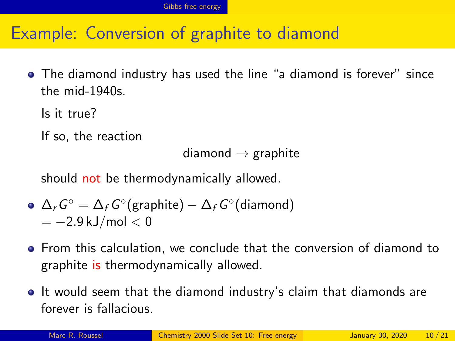## Example: Conversion of graphite to diamond

The diamond industry has used the line "a diamond is forever" since the mid-1940s.

Is it true?

If so, the reaction

```
diamond \rightarrow graphite
```
should not be thermodynamically allowed.

• 
$$
\Delta_r G^\circ = \Delta_f G^\circ(\text{graphite}) - \Delta_f G^\circ(\text{diamond})
$$
  
= -2.9 kJ/mol < 0

- From this calculation, we conclude that the conversion of diamond to graphite is thermodynamically allowed.
- It would seem that the diamond industry's claim that diamonds are forever is fallacious.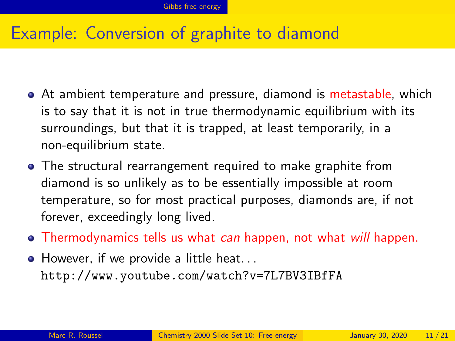## Example: Conversion of graphite to diamond

- At ambient temperature and pressure, diamond is metastable, which is to say that it is not in true thermodynamic equilibrium with its surroundings, but that it is trapped, at least temporarily, in a non-equilibrium state.
- The structural rearrangement required to make graphite from diamond is so unlikely as to be essentially impossible at room temperature, so for most practical purposes, diamonds are, if not forever, exceedingly long lived.
- Thermodynamics tells us what can happen, not what will happen.
- However, if we provide a little heat... <http://www.youtube.com/watch?v=7L7BV3IBfFA>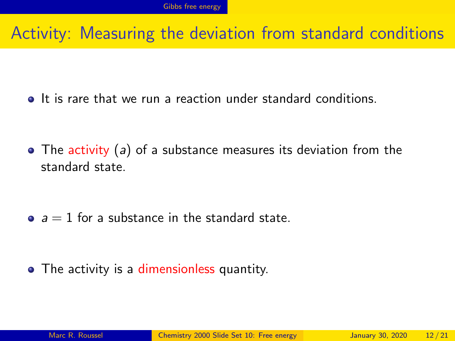### Activity: Measuring the deviation from standard conditions

• It is rare that we run a reaction under standard conditions.

• The activity (a) of a substance measures its deviation from the standard state.

 $a = 1$  for a substance in the standard state.

• The activity is a dimensionless quantity.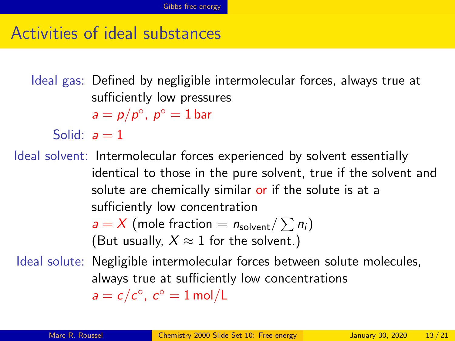#### Activities of ideal substances

Ideal gas: Defined by negligible intermolecular forces, always true at sufficiently low pressures  $a = p/p^{\circ}, p^{\circ} = 1$  bar Solid:  $a = 1$ Ideal solvent: Intermolecular forces experienced by solvent essentially identical to those in the pure solvent, true if the solvent and solute are chemically similar or if the solute is at a sufficiently low concentration  $a = X$  (mole fraction =  $n_{\text{solvent}} / \sum n_i$ ) (But usually,  $X \approx 1$  for the solvent.) Ideal solute: Negligible intermolecular forces between solute molecules, always true at sufficiently low concentrations

 $a = c/c^{\circ}$ ,  $c^{\circ} = 1$  mol/L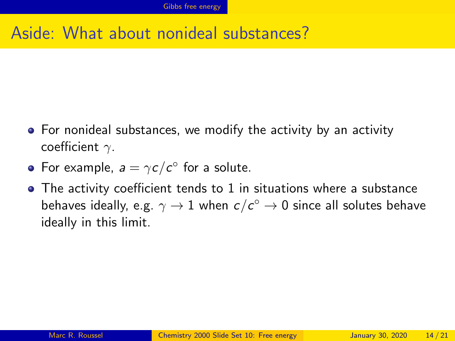# Aside: What about nonideal substances?

- For nonideal substances, we modify the activity by an activity coefficient  $\gamma$ .
- For example,  $a = \gamma c/c^{\circ}$  for a solute.
- The activity coefficient tends to 1 in situations where a substance behaves ideally, e.g.  $\gamma\rightarrow 1$  when  $c/c^{\circ}\rightarrow 0$  since all solutes behave ideally in this limit.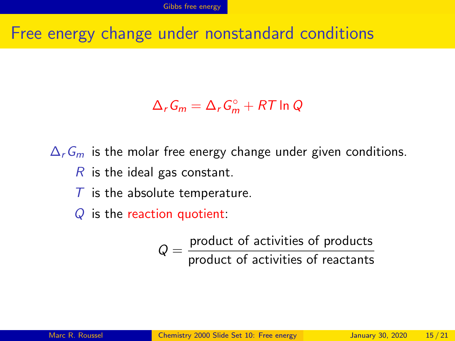### Free energy change under nonstandard conditions

# $\Delta_r G_m = \Delta_r G_m^{\circ} + RT \ln Q$

 $\Delta_r$ G<sub>m</sub> is the molar free energy change under given conditions.  $R$  is the ideal gas constant.

 $\overline{T}$  is the absolute temperature.

 $Q$  is the reaction quotient:

 $Q = \frac{\text{product of activities of products}}{\text{total velocity}}$ product of activities of reactants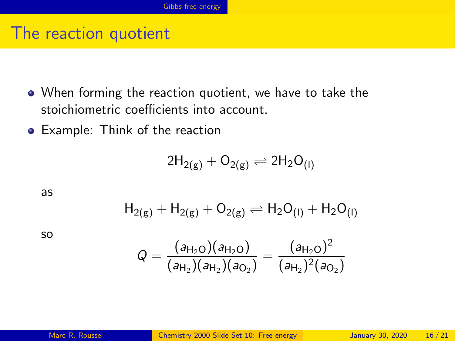### The reaction quotient

- When forming the reaction quotient, we have to take the stoichiometric coefficients into account.
- Example: Think of the reaction

$$
2H_{2(g)}+O_{2(g)}\rightleftharpoons 2H_2O_{(I)}
$$

as

$$
H_{2(g)}+H_{2(g)}+O_{2(g)}\rightleftharpoons H_2O_{(I)}+H_2O_{(I)}
$$

so

$$
Q = \frac{(a_{H_2O})(a_{H_2O})}{(a_{H_2})(a_{H_2})(a_{O_2})} = \frac{(a_{H_2O})^2}{(a_{H_2})^2(a_{O_2})}
$$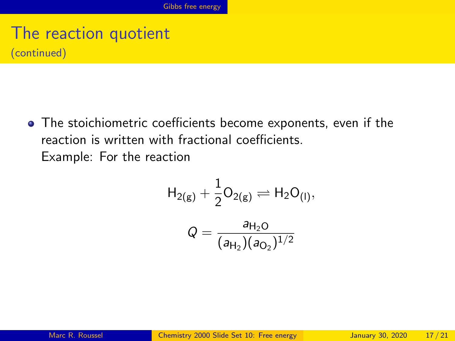# The reaction quotient (continued)

The stoichiometric coefficients become exponents, even if the reaction is written with fractional coefficients. Example: For the reaction

$$
H_{2(g)} + \frac{1}{2}O_{2(g)} \rightleftharpoons H_2O_{(1)},
$$

$$
Q = \frac{a_{H_2O}}{(a_{H_2})(a_{O_2})^{1/2}}
$$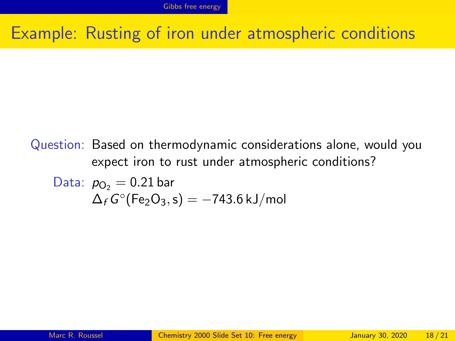### Example: Rusting of iron under atmospheric conditions

#### Question: Based on thermodynamic considerations alone, would you expect iron to rust under atmospheric conditions?

Data: 
$$
p_{O_2} = 0.21 \text{ bar}
$$
  
\n $\Delta_f G^{\circ}(\text{Fe}_2\text{O}_3, \text{s}) = -743.6 \text{ kJ/mol}$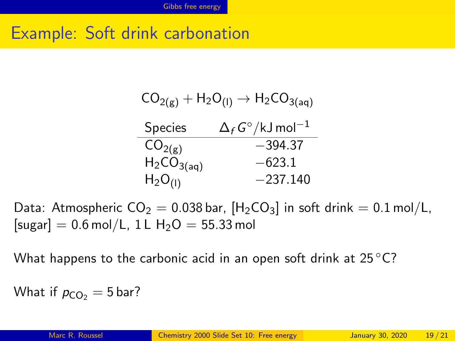# Example: Soft drink carbonation

| $CO_{2(g)} + H_2O_{(1)} \rightarrow H_2CO_{3(aq)}$ |                                            |
|----------------------------------------------------|--------------------------------------------|
| <b>Species</b>                                     | $\Delta_f G^{\circ}/\text{kJ}$ mol $^{-1}$ |
| CO <sub>2(g)</sub>                                 | -394.37                                    |
| $H_2CO_{3(aq)}$                                    | $-623.1$                                   |
| $H_2O_{(1)}$                                       | $-237.140$                                 |

Data: Atmospheric  $CO_2 = 0.038$  bar,  $[H_2CO_3]$  in soft drink  $= 0.1$  mol/L,  $[sugar] = 0.6 \text{ mol/L}$ , 1 L H<sub>2</sub>O = 55.33 mol

What happens to the carbonic acid in an open soft drink at  $25^{\circ}$ C?

What if  $p_{CO_2} = 5$  bar?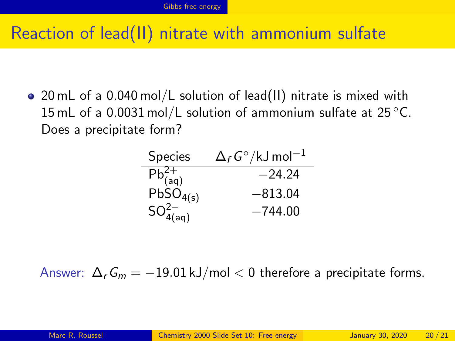# Reaction of lead(II) nitrate with ammonium sulfate

20 mL of a 0.040 mol/L solution of lead(II) nitrate is mixed with 15 mL of a 0.0031 mol/L solution of ammonium sulfate at  $25^{\circ}$ C. Does a precipitate form?

| <b>Species</b>                            | $\Delta_f$ G°/kJ mol $^{-1}$ |
|-------------------------------------------|------------------------------|
| $\overline{\text{Pb}^{2+}_{(\text{aq})}}$ | $-24.24$                     |
| $PbSO_{4(s)}$                             | $-813.04$                    |
| $SO_{4(aq)}^{2-}$                         | $-744.00$                    |

Answer:  $\Delta_r G_m = -19.01 \text{ kJ/mol} < 0$  therefore a precipitate forms.